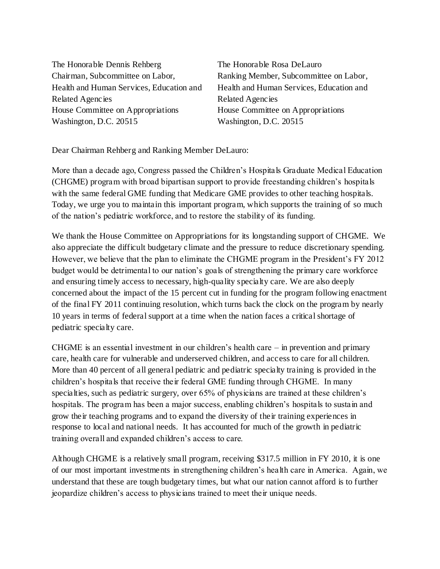The Honorable Dennis Rehberg Chairman, Subcommittee on Labor, Health and Human Services, Education and Related Agencies House Committee on Appropriations Washington, D.C. 20515

The Honorable Rosa DeLauro Ranking Member, Subcommittee on Labor, Health and Human Services, Education and Related Agencies House Committee on Appropriations Washington, D.C. 20515

Dear Chairman Rehberg and Ranking Member DeLauro:

More than a decade ago, Congress passed the Children's Hospitals Graduate Medical Education (CHGME) program with broad bipartisan support to provide freestanding children's hospitals with the same federal GME funding that Medicare GME provides to other teaching hospitals. Today, we urge you to maintain this important program, which supports the training of so much of the nation's pediatric workforce, and to restore the stability of its funding.

We thank the House Committee on Appropriations for its longstanding support of CHGME. We also appreciate the difficult budgetary climate and the pressure to reduce discretionary spending. However, we believe that the plan to eliminate the CHGME program in the President's FY 2012 budget would be detrimental to our nation's goals of strengthening the primary care workforce and ensuring timely access to necessary, high-quality specialty care. We are also deeply concerned about the impact of the 15 percent cut in funding for the program following enactment of the final FY 2011 continuing resolution, which turns back the clock on the program by nearly 10 years in terms of federal support at a time when the nation faces a critical shortage of pediatric specialty care.

CHGME is an essential investment in our children's health care – in prevention and primary care, health care for vulnerable and underserved children, and access to care for all children. More than 40 percent of all general pediatric and pediatric specialty training is provided in the children's hospitals that receive their federal GME funding through CHGME. In many specialties, such as pediatric surgery, over 65% of physicians are trained at these children's hospitals. The program has been a major success, enabling children's hospitals to sustain and grow their teaching programs and to expand the diversity of their training experiences in response to local and national needs. It has accounted for much of the growth in pediatric training overall and expanded children's access to care.

Although CHGME is a relatively small program, receiving \$317.5 million in FY 2010, it is one of our most important investments in strengthening children's health care in America. Again, we understand that these are tough budgetary times, but what our nation cannot afford is to further jeopardize children's access to physicians trained to meet their unique needs.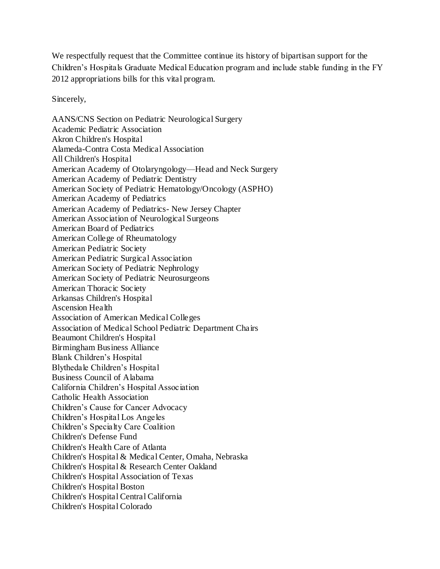We respectfully request that the Committee continue its history of bipartisan support for the Children's Hospitals Graduate Medical Education program and include stable funding in the FY 2012 appropriations bills for this vital program.

Sincerely,

AANS/CNS Section on Pediatric Neurological Surgery Academic Pediatric Association Akron Children's Hospital Alameda-Contra Costa Medical Association All Children's Hospital American Academy of Otolaryngology—Head and Neck Surgery American Academy of Pediatric Dentistry American Society of Pediatric Hematology/Oncology (ASPHO) American Academy of Pediatrics American Academy of Pediatrics- New Jersey Chapter American Association of Neurological Surgeons American Board of Pediatrics American College of Rheumatology American Pediatric Society American Pediatric Surgical Association American Society of Pediatric Nephrology American Society of Pediatric Neurosurgeons American Thoracic Society Arkansas Children's Hospital Ascension Health Association of American Medical Colleges Association of Medical School Pediatric Department Chairs Beaumont Children's Hospital Birmingham Business Alliance Blank Children's Hospital Blythedale Children's Hospital Business Council of Alabama California Children's Hospital Association Catholic Health Association Children's Cause for Cancer Advocacy Children's Hospital Los Angeles Children's Specialty Care Coalition Children's Defense Fund Children's Health Care of Atlanta Children's Hospital & Medical Center, Omaha, Nebraska Children's Hospital & Research Center Oakland Children's Hospital Association of Texas Children's Hospital Boston Children's Hospital Central California Children's Hospital Colorado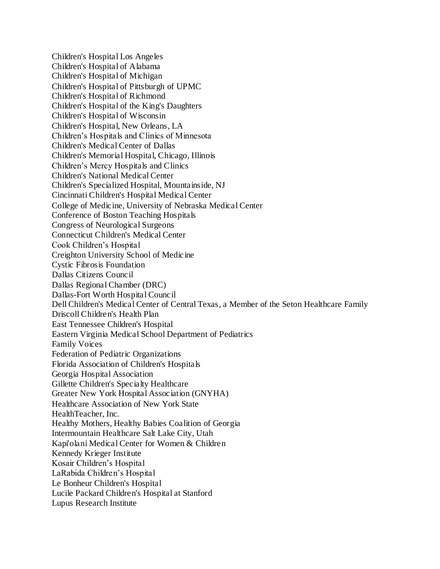Children's Hospital Los Angeles Children's Hospital of Alabama Children's Hospital of Michigan Children's Hospital of Pittsburgh of UPMC Children's Hospital of Richmond Children's Hospital of the King's Daughters Children's Hospital of Wisconsin Children's Hospital, New Orleans, LA Children's Hospitals and Clinics of Minnesota Children's Medical Center of Dallas Children's Memorial Hospital, Chicago, Illinois Children's Mercy Hospitals and Clinics Children's National Medical Center Children's Specialized Hospital, Mountainside, NJ Cincinnati Children's Hospital Medical Center College of Medicine, University of Nebraska Medical Center Conference of Boston Teaching Hospitals Congress of Neurological Surgeons Connecticut Children's Medical Center Cook Children's Hospital Creighton University School of Medicine Cystic Fibrosis Foundation Dallas Citizens Council Dallas Regional Chamber (DRC) Dallas-Fort Worth Hospital Council Dell Children's Medical Center of Central Texas, a Member of the Seton Healthcare Family Driscoll Children's Health Plan East Tennessee Children's Hospital Eastern Virginia Medical School Department of Pediatrics Family Voices Federation of Pediatric Organizations Florida Association of Children's Hospitals Georgia Hospital Association Gillette Children's Specialty Healthcare Greater New York Hospital Association (GNYHA) Healthcare Association of New York State HealthTeacher, Inc. Healthy Mothers, Healthy Babies Coalition of Georgia Intermountain Healthcare Salt Lake City, Utah Kapi'olani Medical Center for Women & Children Kennedy Krieger Institute Kosair Children's Hospital LaRabida Children's Hospital Le Bonheur Children's Hospital Lucile Packard Children's Hospital at Stanford Lupus Research Institute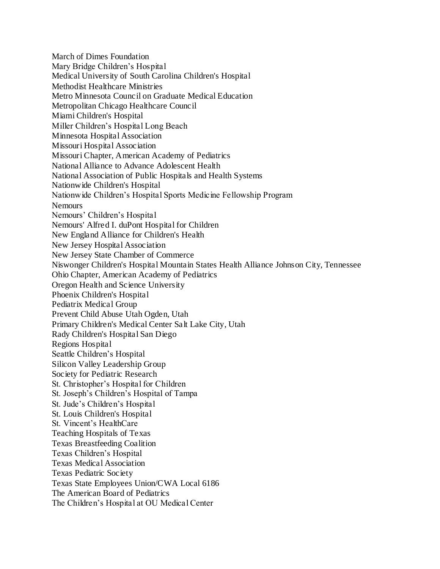March of Dimes Foundation Mary Bridge Children's Hospital Medical University of South Carolina Children's Hospital Methodist Healthcare Ministries Metro Minnesota Council on Graduate Medical Education Metropolitan Chicago Healthcare Council Miami Children's Hospital Miller Children's Hospital Long Beach Minnesota Hospital Association Missouri Hospital Association Missouri Chapter, American Academy of Pediatrics National Alliance to Advance Adolescent Health National Association of Public Hospitals and Health Systems Nationwide Children's Hospital Nationwide Children's Hospital Sports Medicine Fellowship Program **Nemours** Nemours' Children's Hospital Nemours' Alfred I. duPont Hospital for Children New England Alliance for Children's Health New Jersey Hospital Association New Jersey State Chamber of Commerce Niswonger Children's Hospital Mountain States Health Alliance Johnson City, Tennessee Ohio Chapter, American Academy of Pediatrics Oregon Health and Science University Phoenix Children's Hospital Pediatrix Medical Group Prevent Child Abuse Utah Ogden, Utah Primary Children's Medical Center Salt Lake City, Utah Rady Children's Hospital San Diego Regions Hospital Seattle Children's Hospital Silicon Valley Leadership Group Society for Pediatric Research St. Christopher's Hospital for Children St. Joseph's Children's Hospital of Tampa St. Jude's Children's Hospital St. Louis Children's Hospital St. Vincent's HealthCare Teaching Hospitals of Texas Texas Breastfeeding Coalition Texas Children's Hospital Texas Medical Association Texas Pediatric Society Texas State Employees Union/CWA Local 6186 The American Board of Pediatrics The Children's Hospital at OU Medical Center